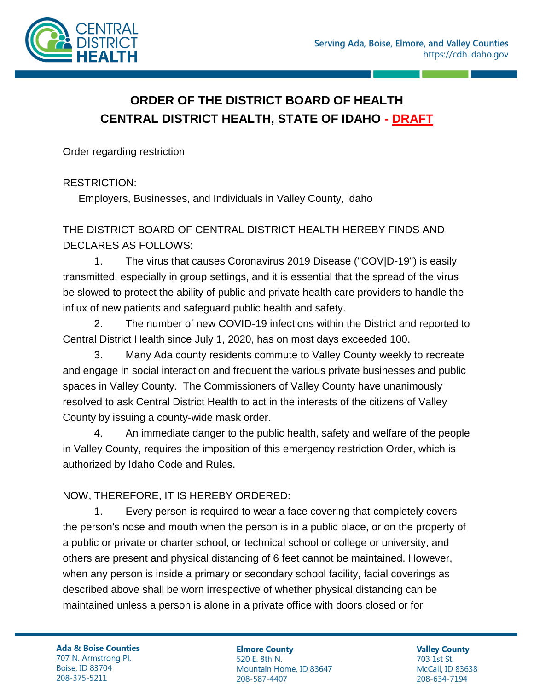

## **ORDER OF THE DISTRICT BOARD OF HEALTH CENTRAL DISTRICT HEALTH, STATE OF IDAHO - DRAFT**

Order regarding restriction

RESTRICTION:

Employers, Businesses, and Individuals in Valley County, ldaho

## THE DISTRICT BOARD OF CENTRAL DISTRICT HEALTH HEREBY FINDS AND DECLARES AS FOLLOWS:

1. The virus that causes Coronavirus 2019 Disease ("COV|D-19") is easily transmitted, especially in group settings, and it is essential that the spread of the virus be slowed to protect the ability of public and private health care providers to handle the influx of new patients and safeguard public health and safety.

2. The number of new COVID-19 infections within the District and reported to Central District Health since July 1, 2020, has on most days exceeded 100.

3. Many Ada county residents commute to Valley County weekly to recreate and engage in social interaction and frequent the various private businesses and public spaces in Valley County. The Commissioners of Valley County have unanimously resolved to ask Central District Health to act in the interests of the citizens of Valley County by issuing a county-wide mask order.

4. An immediate danger to the public health, safety and welfare of the people in Valley County, requires the imposition of this emergency restriction Order, which is authorized by Idaho Code and Rules.

## NOW, THEREFORE, IT IS HEREBY ORDERED:

1. Every person is required to wear a face covering that completely covers the person's nose and mouth when the person is in a public place, or on the property of a public or private or charter school, or technical school or college or university, and others are present and physical distancing of 6 feet cannot be maintained. However, when any person is inside a primary or secondary school facility, facial coverings as described above shall be worn irrespective of whether physical distancing can be maintained unless a person is alone in a private office with doors closed or for

**Ada & Boise Counties** 707 N. Armstrong Pl. Boise, ID 83704 208-375-5211

**Elmore County** 520 E. 8th N. Mountain Home, ID 83647 208-587-4407

**Valley County** 703 1st St. McCall, ID 83638 208-634-7194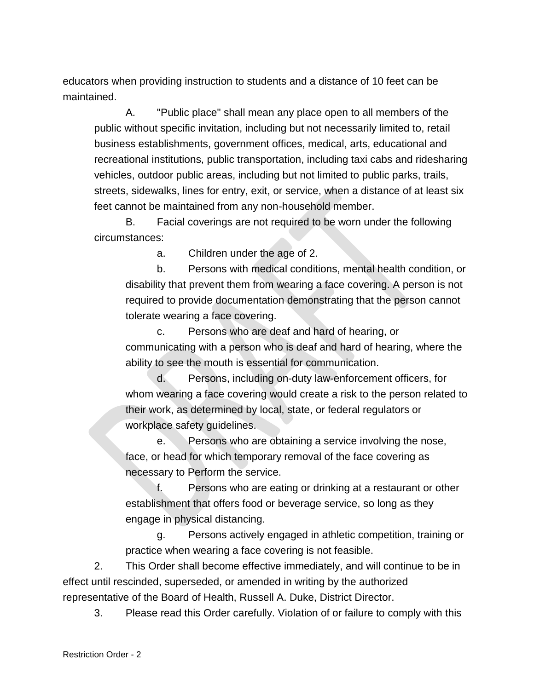educators when providing instruction to students and a distance of 10 feet can be maintained.

A. "Public place" shall mean any place open to all members of the public without specific invitation, including but not necessarily limited to, retail business establishments, government offices, medical, arts, educational and recreational institutions, public transportation, including taxi cabs and ridesharing vehicles, outdoor public areas, including but not limited to public parks, trails, streets, sidewalks, lines for entry, exit, or service, when a distance of at least six feet cannot be maintained from any non-household member.

B. Facial coverings are not required to be worn under the following circumstances:

a. Children under the age of 2.

b. Persons with medical conditions, mental health condition, or disability that prevent them from wearing a face covering. A person is not required to provide documentation demonstrating that the person cannot tolerate wearing a face covering.

c. Persons who are deaf and hard of hearing, or communicating with a person who is deaf and hard of hearing, where the ability to see the mouth is essential for communication.

d. Persons, including on-duty law-enforcement officers, for whom wearing a face covering would create a risk to the person related to their work, as determined by local, state, or federal regulators or workplace safety guidelines.

e. Persons who are obtaining a service involving the nose, face, or head for which temporary removal of the face covering as necessary to Perform the service.

f. Persons who are eating or drinking at a restaurant or other establishment that offers food or beverage service, so long as they engage in physical distancing.

g. Persons actively engaged in athletic competition, training or practice when wearing a face covering is not feasible.

2. This Order shall become effective immediately, and will continue to be in effect until rescinded, superseded, or amended in writing by the authorized representative of the Board of Health, Russell A. Duke, District Director.

3. Please read this Order carefully. Violation of or failure to comply with this